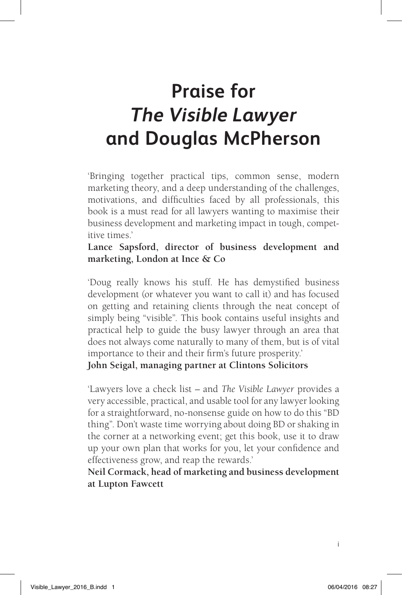# **Praise for**  *The Visible Lawyer* **and Douglas McPherson**

'Bringing together practical tips, common sense, modern marketing theory, and a deep understanding of the challenges, motivations, and difficulties faced by all professionals, this book is a must read for all lawyers wanting to maximise their business development and marketing impact in tough, competitive times.'

**Lance Sapsford, director of business development and marketing, London at Ince & Co**

'Doug really knows his stuff. He has demystified business development (or whatever you want to call it) and has focused on getting and retaining clients through the neat concept of simply being "visible". This book contains useful insights and practical help to guide the busy lawyer through an area that does not always come naturally to many of them, but is of vital importance to their and their firm's future prosperity.'

**John Seigal, managing partner at Clintons Solicitors**

'Lawyers love a check list – and *The Visible Lawyer* provides a very accessible, practical, and usable tool for any lawyer looking for a straightforward, no-nonsense guide on how to do this "BD thing". Don't waste time worrying about doing BD or shaking in the corner at a networking event; get this book, use it to draw up your own plan that works for you, let your confidence and effectiveness grow, and reap the rewards.'

**Neil Cormack, head of marketing and business development at Lupton Fawcett**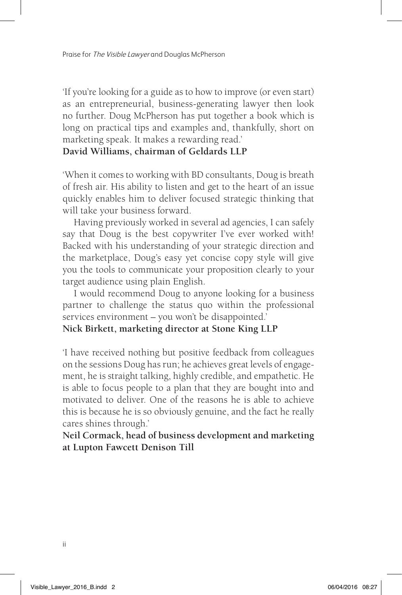'If you're looking for a guide as to how to improve (or even start) as an entrepreneurial, business-generating lawyer then look no further. Doug McPherson has put together a book which is long on practical tips and examples and, thankfully, short on marketing speak. It makes a rewarding read.'

#### **David Williams, chairman of Geldards LLP**

'When it comes to working with BD consultants, Doug is breath of fresh air. His ability to listen and get to the heart of an issue quickly enables him to deliver focused strategic thinking that will take your business forward.

Having previously worked in several ad agencies, I can safely say that Doug is the best copywriter I've ever worked with! Backed with his understanding of your strategic direction and the marketplace, Doug's easy yet concise copy style will give you the tools to communicate your proposition clearly to your target audience using plain English.

I would recommend Doug to anyone looking for a business partner to challenge the status quo within the professional services environment – you won't be disappointed.'

#### **Nick Birkett, marketing director at Stone King LLP**

'I have received nothing but positive feedback from colleagues on the sessions Doug has run; he achieves great levels of engagement, he is straight talking, highly credible, and empathetic. He is able to focus people to a plan that they are bought into and motivated to deliver. One of the reasons he is able to achieve this is because he is so obviously genuine, and the fact he really cares shines through.'

**Neil Cormack, head of business development and marketing at Lupton Fawcett Denison Till**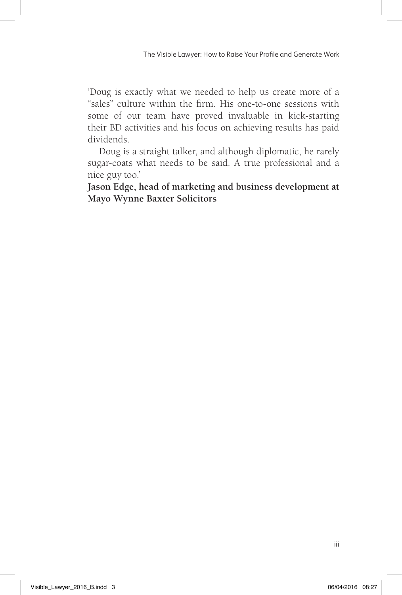'Doug is exactly what we needed to help us create more of a "sales" culture within the firm. His one-to-one sessions with some of our team have proved invaluable in kick-starting their BD activities and his focus on achieving results has paid dividends.

Doug is a straight talker, and although diplomatic, he rarely sugar-coats what needs to be said. A true professional and a nice guy too.'

**Jason Edge, head of marketing and business development at Mayo Wynne Baxter Solicitors**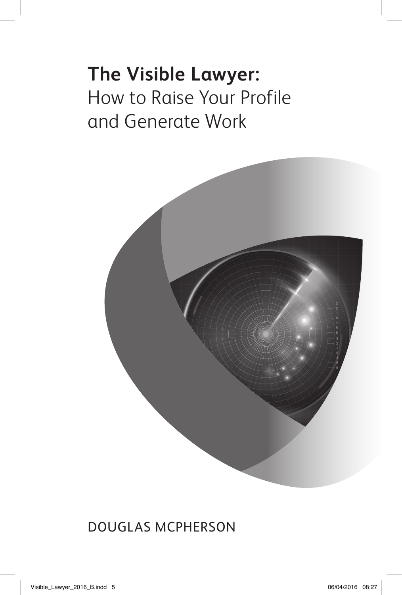# **The Visible Lawyer:**  How to Raise Your Profile and Generate Work



Douglas McPherson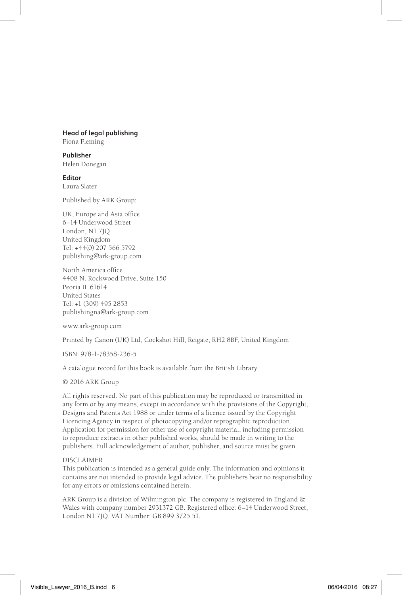#### **Head of legal publishing**

Fiona Fleming

**Publisher** Helen Donegan

**Editor** Laura Slater

Published by ARK Group:

UK, Europe and Asia office 6–14 Underwood Street London, N1 7JQ United Kingdom Tel: +44(0) 207 566 5792 publishing@ark-group.com

North America office 4408 N. Rockwood Drive, Suite 150 Peoria IL 61614 United States Tel: +1 (309) 495 2853 publishingna@ark-group.com

www.ark-group.com

Printed by Canon (UK) Ltd, Cockshot Hill, Reigate, RH2 8BF, United Kingdom

ISBN: 978-1-78358-236-5

A catalogue record for this book is available from the British Library

© 2016 ARK Group

All rights reserved. No part of this publication may be reproduced or transmitted in any form or by any means, except in accordance with the provisions of the Copyright, Designs and Patents Act 1988 or under terms of a licence issued by the Copyright Licencing Agency in respect of photocopying and/or reprographic reproduction. Application for permission for other use of copyright material, including permission to reproduce extracts in other published works, should be made in writing to the publishers. Full acknowledgement of author, publisher, and source must be given.

#### DISCLAIMER

This publication is intended as a general guide only. The information and opinions it contains are not intended to provide legal advice. The publishers bear no responsibility for any errors or omissions contained herein.

ARK Group is a division of Wilmington plc. The company is registered in England & Wales with company number 2931372 GB. Registered office: 6–14 Underwood Street, London N1 7JQ. VAT Number: GB 899 3725 51.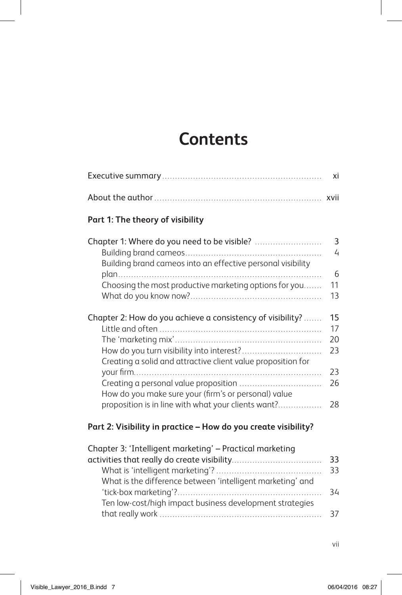## **Contents**

### **Part 1: The theory of visibility**

|                                                              | 3<br>4 |
|--------------------------------------------------------------|--------|
| Building brand cameos into an effective personal visibility  | 6      |
| Choosing the most productive marketing options for you       | 11     |
|                                                              | 13     |
|                                                              |        |
| Chapter 2: How do you achieve a consistency of visibility?   | 15     |
|                                                              | 17     |
|                                                              | 20     |
| How do you turn visibility into interest?                    | 23     |
| Creating a solid and attractive client value proposition for |        |
|                                                              | 23     |
|                                                              | 26     |
| How do you make sure your (firm's or personal) value         |        |
| proposition is in line with what your clients want?          | 28     |
|                                                              |        |

### **Part 2: Visibility in practice – How do you create visibility?**

| Chapter 3: 'Intelligent marketing' - Practical marketing   |    |
|------------------------------------------------------------|----|
|                                                            | 33 |
|                                                            | 33 |
| What is the difference between 'intelligent marketing' and |    |
|                                                            | 34 |
| Ten low-cost/high impact business development strategies   |    |
|                                                            |    |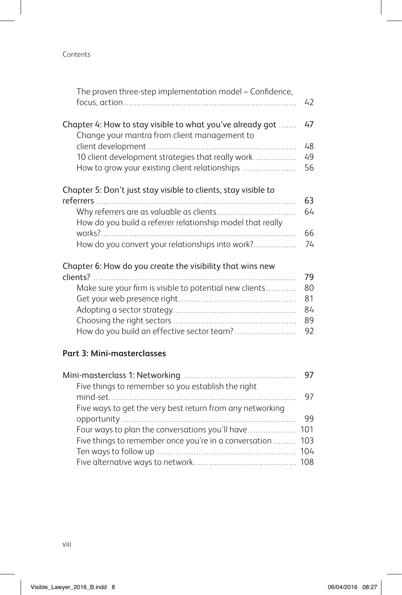#### Contents

| The proven three-step implementation model – Confidence,                                                  | 42       |
|-----------------------------------------------------------------------------------------------------------|----------|
| Chapter 4: How to stay visible to what you've already got<br>Change your mantra from client management to | 47<br>48 |
| 10 client development strategies that really work<br>How to grow your existing client relationships       | 49<br>56 |
| Chapter 5: Don't just stay visible to clients, stay visible to                                            | 63       |
|                                                                                                           | 64       |
| How do you build a referrer relationship model that really                                                | 66       |
| How do you convert your relationships into work?                                                          | 74       |
| Chapter 6: How do you create the visibility that wins new                                                 | 79       |
| Make sure your firm is visible to potential new clients                                                   | 80       |
|                                                                                                           | 81       |
|                                                                                                           | 84       |
|                                                                                                           | 89       |
| How do you build an effective sector team?                                                                | 92       |
|                                                                                                           |          |

#### **Part 3: Mini-masterclasses**

| Five things to remember so you establish the right         |      |
|------------------------------------------------------------|------|
|                                                            | 97   |
| Five ways to get the very best return from any networking  |      |
|                                                            | - 99 |
|                                                            |      |
| Five things to remember once you're in a conversation  103 |      |
|                                                            |      |
|                                                            |      |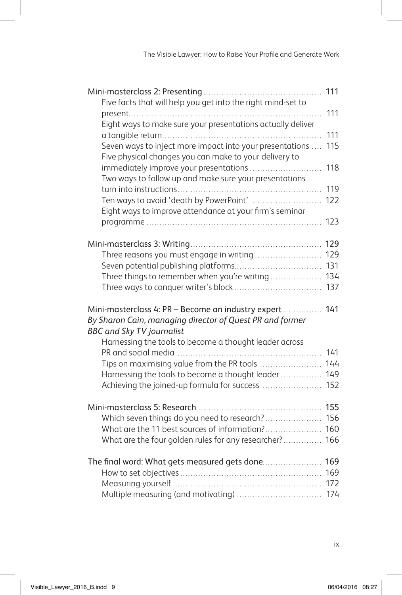|                                                                                                                                                                                                                   | 111        |
|-------------------------------------------------------------------------------------------------------------------------------------------------------------------------------------------------------------------|------------|
| Five facts that will help you get into the right mind-set to                                                                                                                                                      |            |
|                                                                                                                                                                                                                   | 111        |
| Eight ways to make sure your presentations actually deliver                                                                                                                                                       | 111        |
| Seven ways to inject more impact into your presentations<br>Five physical changes you can make to your delivery to                                                                                                | 115        |
| immediately improve your presentations<br>Two ways to follow up and make sure your presentations                                                                                                                  | 118        |
|                                                                                                                                                                                                                   | 119        |
| Ten ways to avoid 'death by PowerPoint'<br>Eight ways to improve attendance at your firm's seminar                                                                                                                | 122        |
|                                                                                                                                                                                                                   | 123        |
|                                                                                                                                                                                                                   |            |
| Three reasons you must engage in writing                                                                                                                                                                          | 129        |
|                                                                                                                                                                                                                   | 131<br>134 |
| Three things to remember when you're writing                                                                                                                                                                      | 137        |
| Mini-masterclass 4: PR - Become an industry expert  141<br>By Sharon Cain, managing director of Quest PR and former<br><b>BBC and Sky TV journalist</b><br>Harnessing the tools to become a thought leader across |            |
|                                                                                                                                                                                                                   | 141        |
| Tips on maximising value from the PR tools                                                                                                                                                                        | 144        |
| Harnessing the tools to become a thought leader                                                                                                                                                                   | 149        |
| Achieving the joined-up formula for success                                                                                                                                                                       | 152        |
|                                                                                                                                                                                                                   | 155        |
| Which seven things do you need to research?                                                                                                                                                                       | 156        |
| What are the 11 best sources of information?                                                                                                                                                                      | 160        |
| What are the four golden rules for any researcher?                                                                                                                                                                | 166        |
| The final word: What gets measured gets done 169                                                                                                                                                                  |            |
|                                                                                                                                                                                                                   | 169        |
|                                                                                                                                                                                                                   | 172        |
|                                                                                                                                                                                                                   | 174        |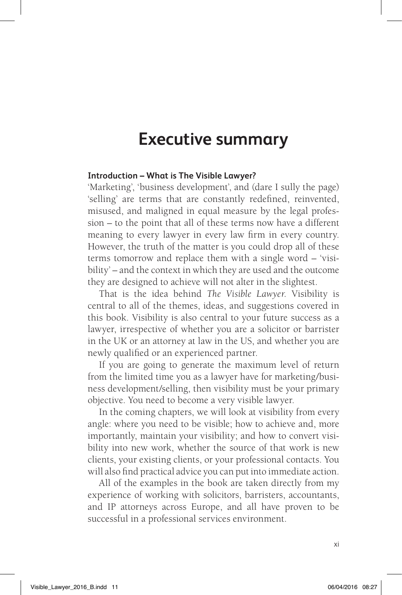### **Executive summary**

#### **Introduction – What is The Visible Lawyer?**

'Marketing', 'business development', and (dare I sully the page) 'selling' are terms that are constantly redefined, reinvented, misused, and maligned in equal measure by the legal profession – to the point that all of these terms now have a different meaning to every lawyer in every law firm in every country. However, the truth of the matter is you could drop all of these terms tomorrow and replace them with a single word – 'visibility' – and the context in which they are used and the outcome they are designed to achieve will not alter in the slightest.

That is the idea behind *The Visible Lawyer*. Visibility is central to all of the themes, ideas, and suggestions covered in this book. Visibility is also central to your future success as a lawyer, irrespective of whether you are a solicitor or barrister in the UK or an attorney at law in the US, and whether you are newly qualified or an experienced partner.

If you are going to generate the maximum level of return from the limited time you as a lawyer have for marketing/business development/selling, then visibility must be your primary objective. You need to become a very visible lawyer.

In the coming chapters, we will look at visibility from every angle: where you need to be visible; how to achieve and, more importantly, maintain your visibility; and how to convert visibility into new work, whether the source of that work is new clients, your existing clients, or your professional contacts. You will also find practical advice you can put into immediate action.

All of the examples in the book are taken directly from my experience of working with solicitors, barristers, accountants, and IP attorneys across Europe, and all have proven to be successful in a professional services environment.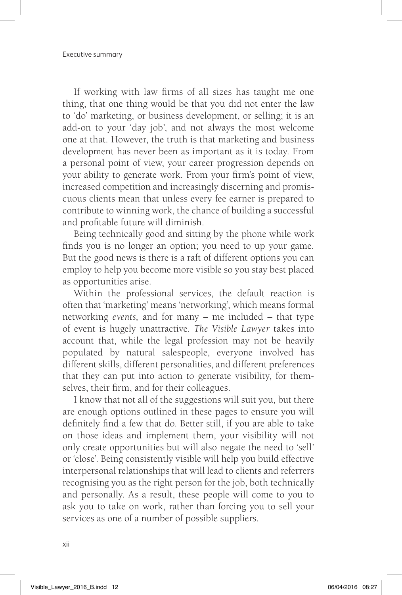If working with law firms of all sizes has taught me one thing, that one thing would be that you did not enter the law to 'do' marketing, or business development, or selling; it is an add-on to your 'day job', and not always the most welcome one at that. However, the truth is that marketing and business development has never been as important as it is today. From a personal point of view, your career progression depends on your ability to generate work. From your firm's point of view, increased competition and increasingly discerning and promiscuous clients mean that unless every fee earner is prepared to contribute to winning work, the chance of building a successful and profitable future will diminish.

Being technically good and sitting by the phone while work finds you is no longer an option; you need to up your game. But the good news is there is a raft of different options you can employ to help you become more visible so you stay best placed as opportunities arise.

Within the professional services, the default reaction is often that 'marketing' means 'networking', which means formal networking *events,* and for many – me included – that type of event is hugely unattractive. *The Visible Lawyer* takes into account that, while the legal profession may not be heavily populated by natural salespeople, everyone involved has different skills, different personalities, and different preferences that they can put into action to generate visibility, for themselves, their firm, and for their colleagues.

I know that not all of the suggestions will suit you, but there are enough options outlined in these pages to ensure you will definitely find a few that do. Better still, if you are able to take on those ideas and implement them, your visibility will not only create opportunities but will also negate the need to 'sell' or 'close'. Being consistently visible will help you build effective interpersonal relationships that will lead to clients and referrers recognising you as the right person for the job, both technically and personally. As a result, these people will come to you to ask you to take on work, rather than forcing you to sell your services as one of a number of possible suppliers.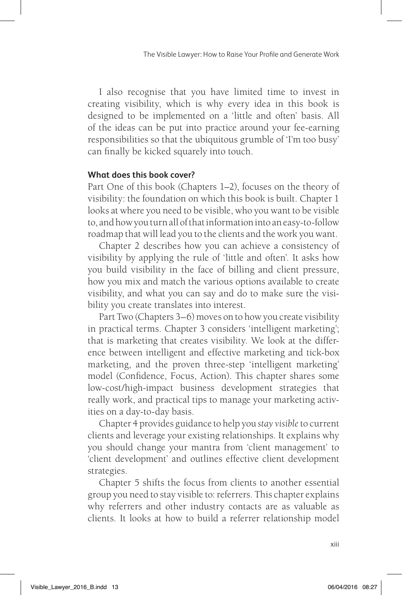I also recognise that you have limited time to invest in creating visibility, which is why every idea in this book is designed to be implemented on a 'little and often' basis. All of the ideas can be put into practice around your fee-earning responsibilities so that the ubiquitous grumble of 'I'm too busy' can finally be kicked squarely into touch.

#### **What does this book cover?**

Part One of this book (Chapters 1–2), focuses on the theory of visibility: the foundation on which this book is built. Chapter 1 looks at where you need to be visible, who you want to be visible to, and how you turn all of that information into an easy-to-follow roadmap that will lead you to the clients and the work you want.

Chapter 2 describes how you can achieve a consistency of visibility by applying the rule of 'little and often'. It asks how you build visibility in the face of billing and client pressure, how you mix and match the various options available to create visibility, and what you can say and do to make sure the visibility you create translates into interest.

Part Two (Chapters 3–6) moves on to how you create visibility in practical terms. Chapter 3 considers 'intelligent marketing'; that is marketing that creates visibility. We look at the difference between intelligent and effective marketing and tick-box marketing, and the proven three-step 'intelligent marketing' model (Confidence, Focus, Action). This chapter shares some low-cost/high-impact business development strategies that really work, and practical tips to manage your marketing activities on a day-to-day basis.

Chapter 4 provides guidance to help you *stay visible* to current clients and leverage your existing relationships. It explains why you should change your mantra from 'client management' to 'client development' and outlines effective client development strategies.

Chapter 5 shifts the focus from clients to another essential group you need to stay visible to: referrers. This chapter explains why referrers and other industry contacts are as valuable as clients. It looks at how to build a referrer relationship model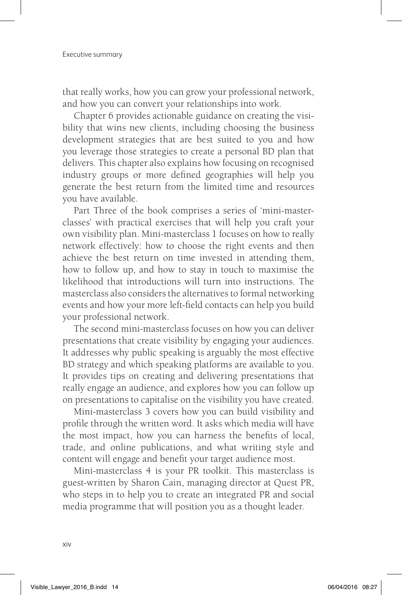that really works, how you can grow your professional network, and how you can convert your relationships into work.

Chapter 6 provides actionable guidance on creating the visibility that wins new clients, including choosing the business development strategies that are best suited to you and how you leverage those strategies to create a personal BD plan that delivers. This chapter also explains how focusing on recognised industry groups or more defined geographies will help you generate the best return from the limited time and resources you have available.

Part Three of the book comprises a series of 'mini-masterclasses' with practical exercises that will help you craft your own visibility plan. Mini-masterclass 1 focuses on how to really network effectively: how to choose the right events and then achieve the best return on time invested in attending them, how to follow up, and how to stay in touch to maximise the likelihood that introductions will turn into instructions. The masterclass also considers the alternatives to formal networking events and how your more left-field contacts can help you build your professional network.

The second mini-masterclass focuses on how you can deliver presentations that create visibility by engaging your audiences. It addresses why public speaking is arguably the most effective BD strategy and which speaking platforms are available to you. It provides tips on creating and delivering presentations that really engage an audience, and explores how you can follow up on presentations to capitalise on the visibility you have created.

Mini-masterclass 3 covers how you can build visibility and profile through the written word. It asks which media will have the most impact, how you can harness the benefits of local, trade, and online publications, and what writing style and content will engage and benefit your target audience most.

Mini-masterclass 4 is your PR toolkit. This masterclass is guest-written by Sharon Cain, managing director at Quest PR, who steps in to help you to create an integrated PR and social media programme that will position you as a thought leader.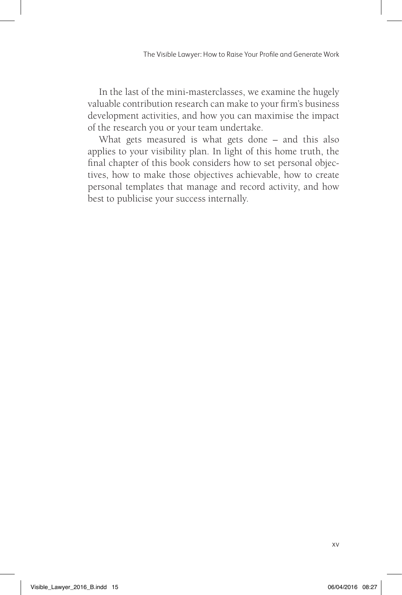In the last of the mini-masterclasses, we examine the hugely valuable contribution research can make to your firm's business development activities, and how you can maximise the impact of the research you or your team undertake.

What gets measured is what gets done – and this also applies to your visibility plan. In light of this home truth, the final chapter of this book considers how to set personal objectives, how to make those objectives achievable, how to create personal templates that manage and record activity, and how best to publicise your success internally.